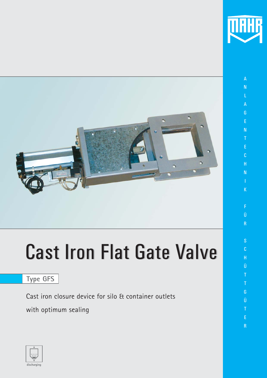

A N L A G E N

E C H N

I K

Ü

R

S C H Ü

G Ü

E

R



# **Cast Iron Flat Gate Valve**

# **Type GFS**

Cast iron closure device for silo & container outlets

with optimum sealing